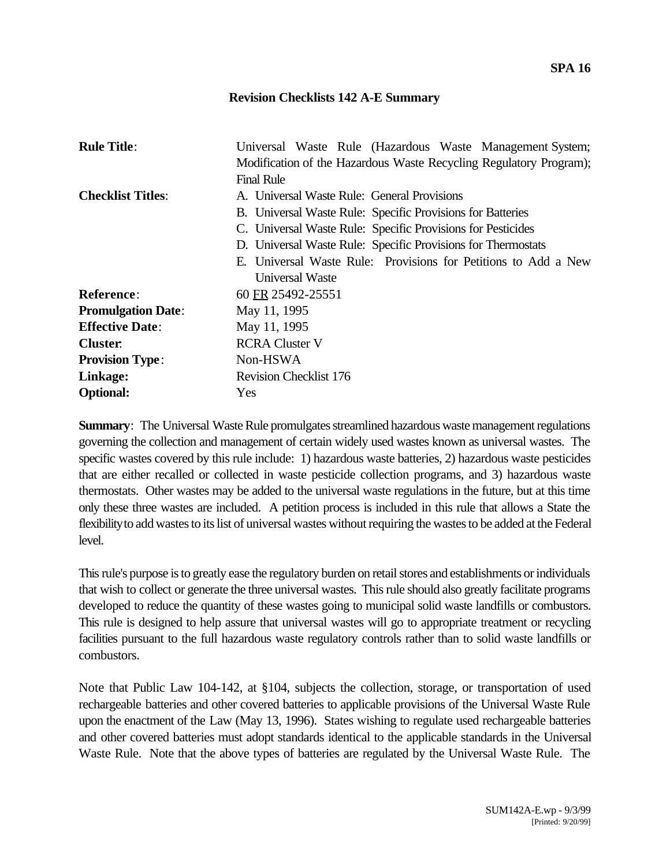## **Revision Checklists 142 A-E Summary**

| <b>Rule Title:</b>        | Universal Waste Rule (Hazardous Waste Management System;<br>Modification of the Hazardous Waste Recycling Regulatory Program);<br><b>Final Rule</b>                                                                                                                                                                           |
|---------------------------|-------------------------------------------------------------------------------------------------------------------------------------------------------------------------------------------------------------------------------------------------------------------------------------------------------------------------------|
| <b>Checklist Titles:</b>  | A. Universal Waste Rule: General Provisions<br>B. Universal Waste Rule: Specific Provisions for Batteries<br>C. Universal Waste Rule: Specific Provisions for Pesticides<br>D. Universal Waste Rule: Specific Provisions for Thermostats<br>E. Universal Waste Rule: Provisions for Petitions to Add a New<br>Universal Waste |
| <b>Reference:</b>         | 60 FR 25492-25551                                                                                                                                                                                                                                                                                                             |
| <b>Promulgation Date:</b> | May 11, 1995                                                                                                                                                                                                                                                                                                                  |
| <b>Effective Date:</b>    | May 11, 1995                                                                                                                                                                                                                                                                                                                  |
| <b>Cluster.</b>           | <b>RCRA Cluster V</b>                                                                                                                                                                                                                                                                                                         |
| <b>Provision Type:</b>    | Non-HSWA                                                                                                                                                                                                                                                                                                                      |
| Linkage:                  | <b>Revision Checklist 176</b>                                                                                                                                                                                                                                                                                                 |
| <b>Optional:</b>          | Yes                                                                                                                                                                                                                                                                                                                           |

**Summary**: The Universal Waste Rule promulgates streamlined hazardous waste management regulations governing the collection and management of certain widely used wastes known as universal wastes. The specific wastes covered by this rule include: 1) hazardous waste batteries, 2) hazardous waste pesticides that are either recalled or collected in waste pesticide collection programs, and 3) hazardous waste thermostats. Other wastes may be added to the universal waste regulations in the future, but at this time only these three wastes are included. A petition process is included in this rule that allows a State the flexibility to add wastes to its list of universal wastes without requiring the wastes to be added at the Federal level.

This rule's purpose is to greatly ease the regulatory burden on retail stores and establishments or individuals that wish to collect or generate the three universal wastes. This rule should also greatly facilitate programs developed to reduce the quantity of these wastes going to municipal solid waste landfills or combustors. This rule is designed to help assure that universal wastes will go to appropriate treatment or recycling facilities pursuant to the full hazardous waste regulatory controls rather than to solid waste landfills or combustors.

Note that Public Law 104-142, at §104, subjects the collection, storage, or transportation of used rechargeable batteries and other covered batteries to applicable provisions of the Universal Waste Rule upon the enactment of the Law (May 13, 1996). States wishing to regulate used rechargeable batteries and other covered batteries must adopt standards identical to the applicable standards in the Universal Waste Rule. Note that the above types of batteries are regulated by the Universal Waste Rule. The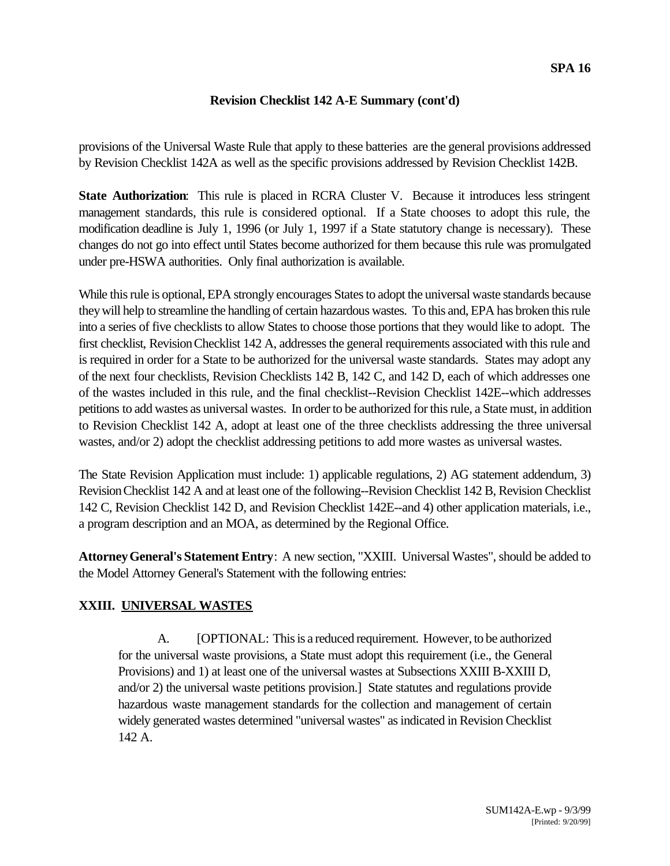provisions of the Universal Waste Rule that apply to these batteries are the general provisions addressed by Revision Checklist 142A as well as the specific provisions addressed by Revision Checklist 142B.

**State Authorization**: This rule is placed in RCRA Cluster V. Because it introduces less stringent management standards, this rule is considered optional. If a State chooses to adopt this rule, the modification deadline is July 1, 1996 (or July 1, 1997 if a State statutory change is necessary). These changes do not go into effect until States become authorized for them because this rule was promulgated under pre-HSWA authorities. Only final authorization is available.

While this rule is optional, EPA strongly encourages States to adopt the universal waste standards because they will help to streamline the handling of certain hazardous wastes. To this and, EPA has broken this rule into a series of five checklists to allow States to choose those portions that they would like to adopt. The first checklist, Revision Checklist 142 A, addresses the general requirements associated with this rule and is required in order for a State to be authorized for the universal waste standards. States may adopt any of the next four checklists, Revision Checklists 142 B, 142 C, and 142 D, each of which addresses one of the wastes included in this rule, and the final checklist--Revision Checklist 142E--which addresses petitions to add wastes as universal wastes. In order to be authorized for this rule, a State must, in addition to Revision Checklist 142 A, adopt at least one of the three checklists addressing the three universal wastes, and/or 2) adopt the checklist addressing petitions to add more wastes as universal wastes.

The State Revision Application must include: 1) applicable regulations, 2) AG statement addendum, 3) Revision Checklist 142 A and at least one of the following--Revision Checklist 142 B, Revision Checklist 142 C, Revision Checklist 142 D, and Revision Checklist 142E--and 4) other application materials, i.e., a program description and an MOA, as determined by the Regional Office.

**Attorney General's Statement Entry**: A new section, "XXIII. Universal Wastes", should be added to the Model Attorney General's Statement with the following entries:

# **XXIII. UNIVERSAL WASTES**

A. [OPTIONAL: This is a reduced requirement. However, to be authorized for the universal waste provisions, a State must adopt this requirement (i.e., the General Provisions) and 1) at least one of the universal wastes at Subsections XXIII B-XXIII D, and/or 2) the universal waste petitions provision.] State statutes and regulations provide hazardous waste management standards for the collection and management of certain widely generated wastes determined "universal wastes" as indicated in Revision Checklist 142 A.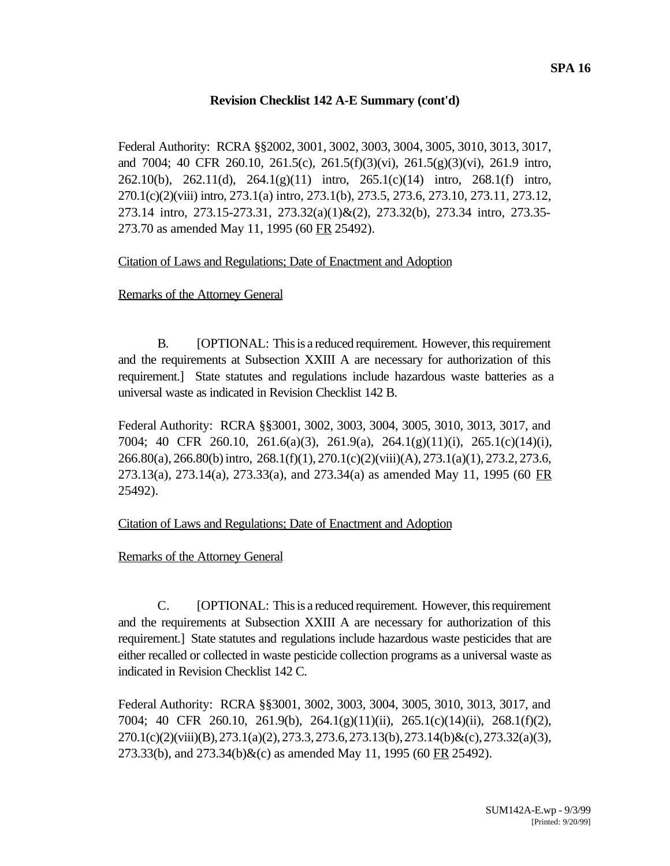Federal Authority: RCRA §§2002, 3001, 3002, 3003, 3004, 3005, 3010, 3013, 3017, and 7004; 40 CFR 260.10, 261.5(c), 261.5(f)(3)(vi), 261.5(g)(3)(vi), 261.9 intro, 262.10(b), 262.11(d), 264.1(g)(11) intro, 265.1(c)(14) intro, 268.1(f) intro, 270.1(c)(2)(viii) intro, 273.1(a) intro, 273.1(b), 273.5, 273.6, 273.10, 273.11, 273.12, 273.14 intro, 273.15-273.31, 273.32(a)(1)&(2), 273.32(b), 273.34 intro, 273.35- 273.70 as amended May 11, 1995 (60 FR 25492).

#### Citation of Laws and Regulations; Date of Enactment and Adoption

# Remarks of the Attorney General

B. [OPTIONAL: This is a reduced requirement. However, this requirement and the requirements at Subsection XXIII A are necessary for authorization of this requirement.] State statutes and regulations include hazardous waste batteries as a universal waste as indicated in Revision Checklist 142 B.

Federal Authority: RCRA §§3001, 3002, 3003, 3004, 3005, 3010, 3013, 3017, and 7004; 40 CFR 260.10, 261.6(a)(3), 261.9(a), 264.1(g)(11)(i), 265.1(c)(14)(i), 266.80(a), 266.80(b) intro, 268.1(f)(1), 270.1(c)(2)(viii)(A), 273.1(a)(1), 273.2, 273.6, 273.13(a), 273.14(a), 273.33(a), and 273.34(a) as amended May 11, 1995 (60 FR 25492).

#### Citation of Laws and Regulations; Date of Enactment and Adoption

#### Remarks of the Attorney General

C. [OPTIONAL: This is a reduced requirement. However, this requirement and the requirements at Subsection XXIII A are necessary for authorization of this requirement.] State statutes and regulations include hazardous waste pesticides that are either recalled or collected in waste pesticide collection programs as a universal waste as indicated in Revision Checklist 142 C.

Federal Authority: RCRA §§3001, 3002, 3003, 3004, 3005, 3010, 3013, 3017, and 7004; 40 CFR 260.10, 261.9(b), 264.1(g)(11)(ii), 265.1(c)(14)(ii), 268.1(f)(2), 270.1(c)(2)(viii)(B), 273.1(a)(2), 273.3, 273.6, 273.13(b), 273.14(b)&(c), 273.32(a)(3), 273.33(b), and  $273.34(b)$ &(c) as amended May 11, 1995 (60 FR 25492).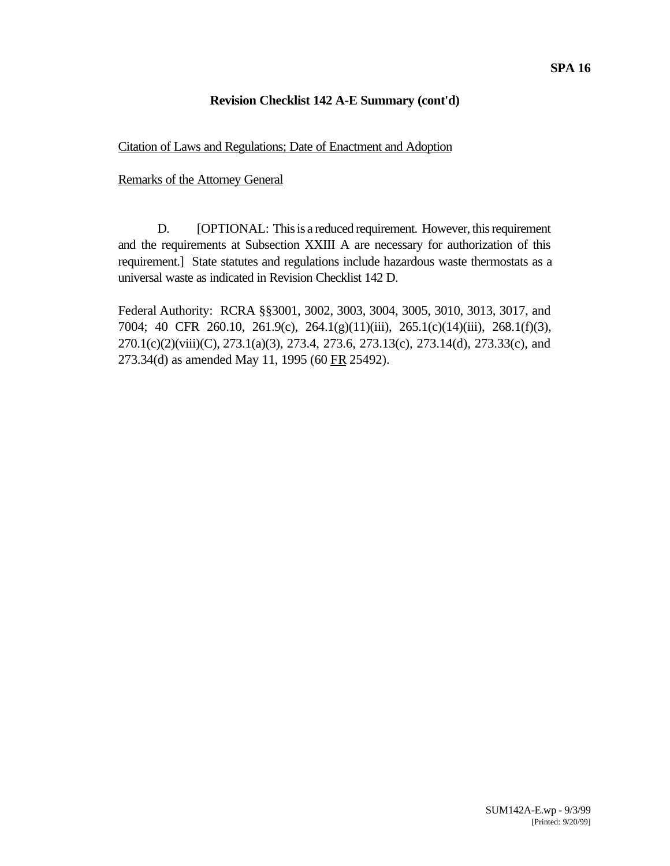# Citation of Laws and Regulations; Date of Enactment and Adoption

# Remarks of the Attorney General

D. [OPTIONAL: This is a reduced requirement. However, this requirement and the requirements at Subsection XXIII A are necessary for authorization of this requirement.] State statutes and regulations include hazardous waste thermostats as a universal waste as indicated in Revision Checklist 142 D.

Federal Authority: RCRA §§3001, 3002, 3003, 3004, 3005, 3010, 3013, 3017, and 7004; 40 CFR 260.10, 261.9(c), 264.1(g)(11)(iii), 265.1(c)(14)(iii), 268.1(f)(3), 270.1(c)(2)(viii)(C), 273.1(a)(3), 273.4, 273.6, 273.13(c), 273.14(d), 273.33(c), and 273.34(d) as amended May 11, 1995 (60 FR 25492).